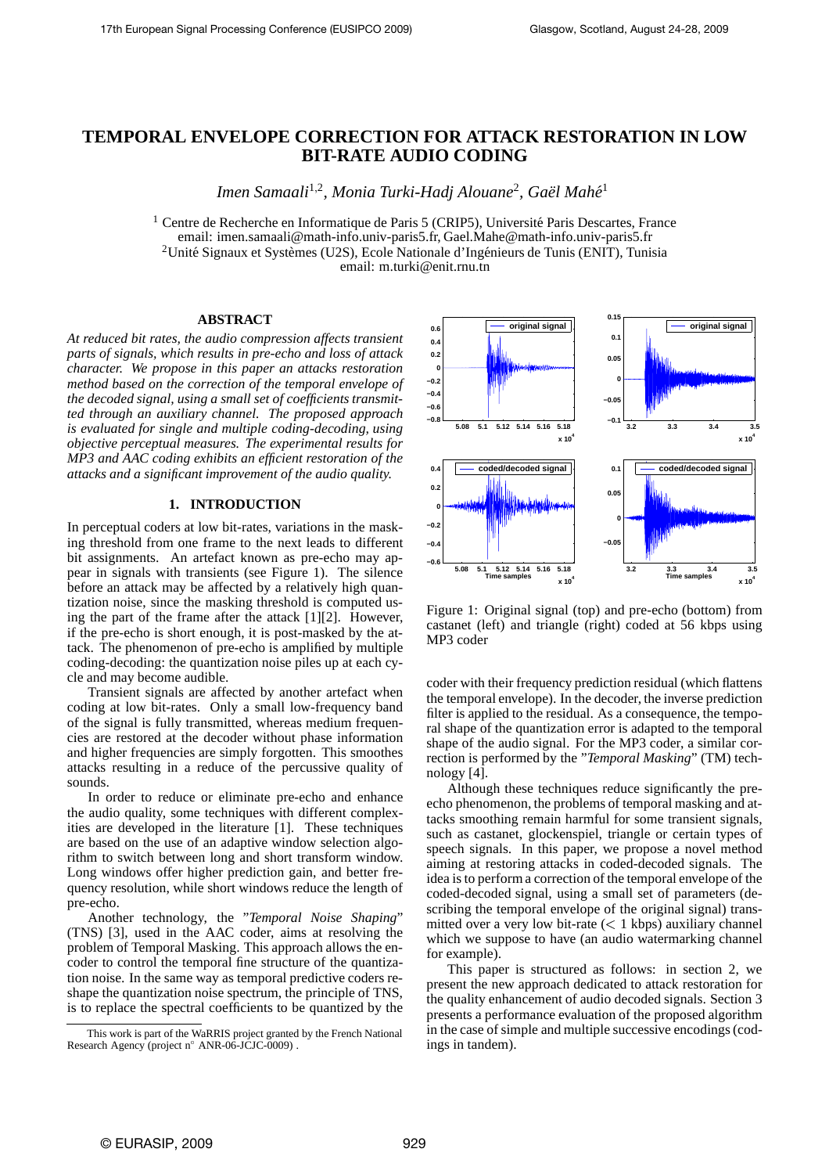# **TEMPORAL ENVELOPE CORRECTION FOR ATTACK RESTORATION IN LOW BIT-RATE AUDIO CODING**

Imen Samaali<sup>1,2</sup>, Monia Turki-Hadj Alouane<sup>2</sup>, Gaël Mahé<sup>1</sup>

 $<sup>1</sup>$  Centre de Recherche en Informatique de Paris 5 (CRIP5), Université Paris Descartes, France</sup> email: imen.samaali@math-info.univ-paris5.fr, Gael.Mahe@math-info.univ-paris5.fr <sup>2</sup>Unité Signaux et Systèmes (U2S), Ecole Nationale d'Ingénieurs de Tunis (ENIT), Tunisia email: m.turki@enit.rnu.tn

#### **ABSTRACT**

*At reduced bit rates, the audio compression affects transient parts of signals, which results in pre-echo and loss of attack character. We propose in this paper an attacks restoration method based on the correction of the temporal envelope of the decoded signal, using a small set of coefficients transmitted through an auxiliary channel. The proposed approach is evaluated for single and multiple coding-decoding, using objective perceptual measures. The experimental results for MP3 and AAC coding exhibits an efficient restoration of the attacks and a significant improvement of the audio quality.*

### **1. INTRODUCTION**

In perceptual coders at low bit-rates, variations in the masking threshold from one frame to the next leads to different bit assignments. An artefact known as pre-echo may appear in signals with transients (see Figure 1). The silence before an attack may be affected by a relatively high quantization noise, since the masking threshold is computed using the part of the frame after the attack [1][2]. However, if the pre-echo is short enough, it is post-masked by the attack. The phenomenon of pre-echo is amplified by multiple coding-decoding: the quantization noise piles up at each cycle and may become audible.

Transient signals are affected by another artefact when coding at low bit-rates. Only a small low-frequency band of the signal is fully transmitted, whereas medium frequencies are restored at the decoder without phase information and higher frequencies are simply forgotten. This smoothes attacks resulting in a reduce of the percussive quality of sounds.

In order to reduce or eliminate pre-echo and enhance the audio quality, some techniques with different complexities are developed in the literature [1]. These techniques are based on the use of an adaptive window selection algorithm to switch between long and short transform window. Long windows offer higher prediction gain, and better frequency resolution, while short windows reduce the length of pre-echo.

Another technology, the "*Temporal Noise Shaping*" (TNS) [3], used in the AAC coder, aims at resolving the problem of Temporal Masking. This approach allows the encoder to control the temporal fine structure of the quantization noise. In the same way as temporal predictive coders reshape the quantization noise spectrum, the principle of TNS, is to replace the spectral coefficients to be quantized by the



Figure 1: Original signal (top) and pre-echo (bottom) from castanet (left) and triangle (right) coded at 56 kbps using MP3 coder

coder with their frequency prediction residual (which flattens the temporal envelope). In the decoder, the inverse prediction filter is applied to the residual. As a consequence, the temporal shape of the quantization error is adapted to the temporal shape of the audio signal. For the MP3 coder, a similar correction is performed by the "*Temporal Masking*" (TM) technology [4].

Although these techniques reduce significantly the preecho phenomenon, the problems of temporal masking and attacks smoothing remain harmful for some transient signals, such as castanet, glockenspiel, triangle or certain types of speech signals. In this paper, we propose a novel method aiming at restoring attacks in coded-decoded signals. The idea is to perform a correction of the temporal envelope of the coded-decoded signal, using a small set of parameters (describing the temporal envelope of the original signal) transmitted over a very low bit-rate  $(< 1$  kbps) auxiliary channel which we suppose to have (an audio watermarking channel for example).

This paper is structured as follows: in section 2, we present the new approach dedicated to attack restoration for the quality enhancement of audio decoded signals. Section 3 presents a performance evaluation of the proposed algorithm in the case of simple and multiple successive encodings (codings in tandem).

This work is part of the WaRRIS project granted by the French National Research Agency (project nº ANR-06-JCJC-0009).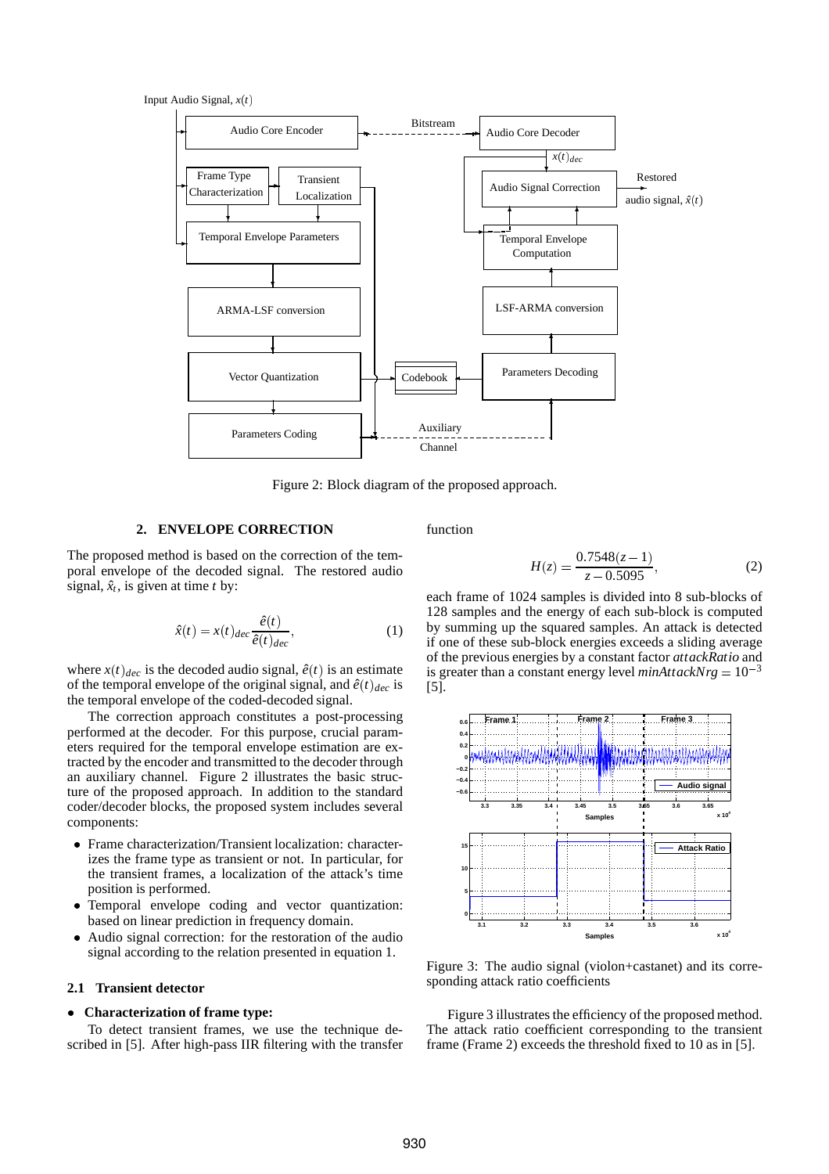Input Audio Signal,  $x(t)$ 



Figure 2: Block diagram of the proposed approach.

# **2. ENVELOPE CORRECTION**

function

The proposed method is based on the correction of the temporal envelope of the decoded signal. The restored audio signal,  $\hat{x}_t$ , is given at time *t* by:

$$
\hat{x}(t) = x(t)_{dec} \frac{\hat{e}(t)}{\hat{e}(t)_{dec}},
$$
\n(1)

where  $x(t)_{dec}$  is the decoded audio signal,  $\hat{e}(t)$  is an estimate of the temporal envelope of the original signal, and  $\hat{e}(t)_{dec}$  is the temporal envelope of the coded-decoded signal.

The correction approach constitutes a post-processing performed at the decoder. For this purpose, crucial parameters required for the temporal envelope estimation are extracted by the encoder and transmitted to the decoder through an auxiliary channel. Figure 2 illustrates the basic structure of the proposed approach. In addition to the standard coder/decoder blocks, the proposed system includes several components:

- Frame characterization/Transient localization: characterizes the frame type as transient or not. In particular, for the transient frames, a localization of the attack's time position is performed.
- Temporal envelope coding and vector quantization: based on linear prediction in frequency domain.
- Audio signal correction: for the restoration of the audio signal according to the relation presented in equation 1.

# **2.1 Transient detector**

### **Characterization of frame type:**

To detect transient frames, we use the technique described in [5]. After high-pass IIR filtering with the transfer

$$
H(z) = \frac{0.7548(z-1)}{z - 0.5095},
$$
 (2)

each frame of 1024 samples is divided into 8 sub-blocks of 128 samples and the energy of each sub-block is computed by summing up the squared samples. An attack is detected if one of these sub-block energies exceeds a sliding average of the previous energies by a constant factor *attackRatio* and is greater than a constant energy level  $minAttackNrg = 10^{-3}$ [5].



Figure 3: The audio signal (violon+castanet) and its corresponding attack ratio coefficients

Figure 3 illustrates the efficiency of the proposed method. The attack ratio coefficient corresponding to the transient frame (Frame 2) exceeds the threshold fixed to 10 as in [5].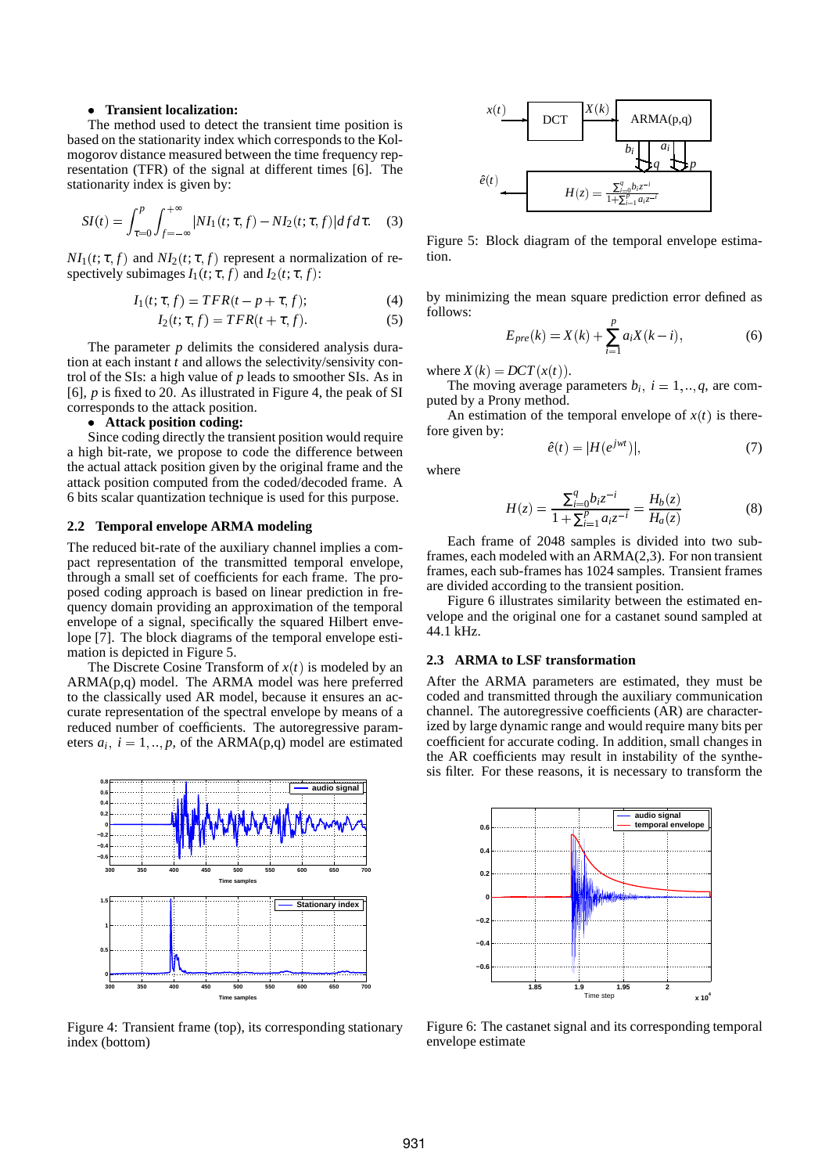#### **Transient localization:**

The method used to detect the transient time position is based on the stationarity index which corresponds to the Kolmogorov distance measured between the time frequency representation (TFR) of the signal at different times [6]. The stationarity index is given by:

$$
SI(t) = \int_{\tau=0}^{p} \int_{f=-\infty}^{+\infty} |NI_1(t;\tau,f) - NI_2(t;\tau,f)| df d\tau.
$$
 (3)

 $NI_1(t; \tau, f)$  and  $NI_2(t; \tau, f)$  represent a normalization of respectively subimages  $I_1(t; \tau, f)$  and  $I_2(t; \tau, f)$ :

$$
I_1(t; \tau, f) = TFR(t - p + \tau, f); \tag{4}
$$

$$
I_2(t; \tau, f) = TFR(t + \tau, f). \tag{5}
$$

The parameter *p* delimits the considered analysis duration at each instant *t* and allows the selectivity/sensivity control of the SIs: a high value of *p* leads to smoother SIs. As in [6], *p* is fixed to 20. As illustrated in Figure 4, the peak of SI corresponds to the attack position.

### **Attack position coding:**

Since coding directly the transient position would require a high bit-rate, we propose to code the difference between the actual attack position given by the original frame and the attack position computed from the coded/decoded frame. A 6 bits scalar quantization technique is used for this purpose.

#### **2.2 Temporal envelope ARMA modeling**

The reduced bit-rate of the auxiliary channel implies a compact representation of the transmitted temporal envelope, through a small set of coefficients for each frame. The proposed coding approach is based on linear prediction in frequency domain providing an approximation of the temporal envelope of a signal, specifically the squared Hilbert envelope [7]. The block diagrams of the temporal envelope estimation is depicted in Figure 5.

The Discrete Cosine Transform of  $x(t)$  is modeled by an ARMA(p,q) model. The ARMA model was here preferred to the classically used AR model, because it ensures an accurate representation of the spectral envelope by means of a reduced number of coefficients. The autoregressive parameters  $a_i$ ,  $i = 1, \dots, p$ , of the ARMA(p,q) model are estimated



Figure 4: Transient frame (top), its corresponding stationary index (bottom)



Figure 5: Block diagram of the temporal envelope estimation.

by minimizing the mean square prediction error defined as follows:

$$
E_{pre}(k) = X(k) + \sum_{i=1}^{p} a_i X(k-i),
$$
 (6)

where  $X(k) = DCT(x(t)).$ 

The moving average parameters  $b_i$ ,  $i = 1, ..., q$ , are com-<br>red by a Propy method puted by a Prony method.

An estimation of the temporal envelope of  $x(t)$  is therefore given by:

$$
\hat{e}(t) = |H(e^{jwt})|,\tag{7}
$$

where

$$
H(z) = \frac{\sum_{i=0}^{q} b_i z^{-i}}{1 + \sum_{i=1}^{p} a_i z^{-i}} = \frac{H_b(z)}{H_a(z)}
$$
(8)

Each frame of 2048 samples is divided into two subframes, each modeled with an ARMA(2,3). For non transient frames, each sub-frames has 1024 samples. Transient frames are divided according to the transient position.

Figure 6 illustrates similarity between the estimated envelope and the original one for a castanet sound sampled at 44.1 kHz.

#### **2.3 ARMA to LSF transformation**

After the ARMA parameters are estimated, they must be coded and transmitted through the auxiliary communication channel. The autoregressive coefficients (AR) are characterized by large dynamic range and would require many bits per coefficient for accurate coding. In addition, small changes in the AR coefficients may result in instability of the synthesis filter. For these reasons, it is necessary to transform the



Figure 6: The castanet signal and its corresponding temporal envelope estimate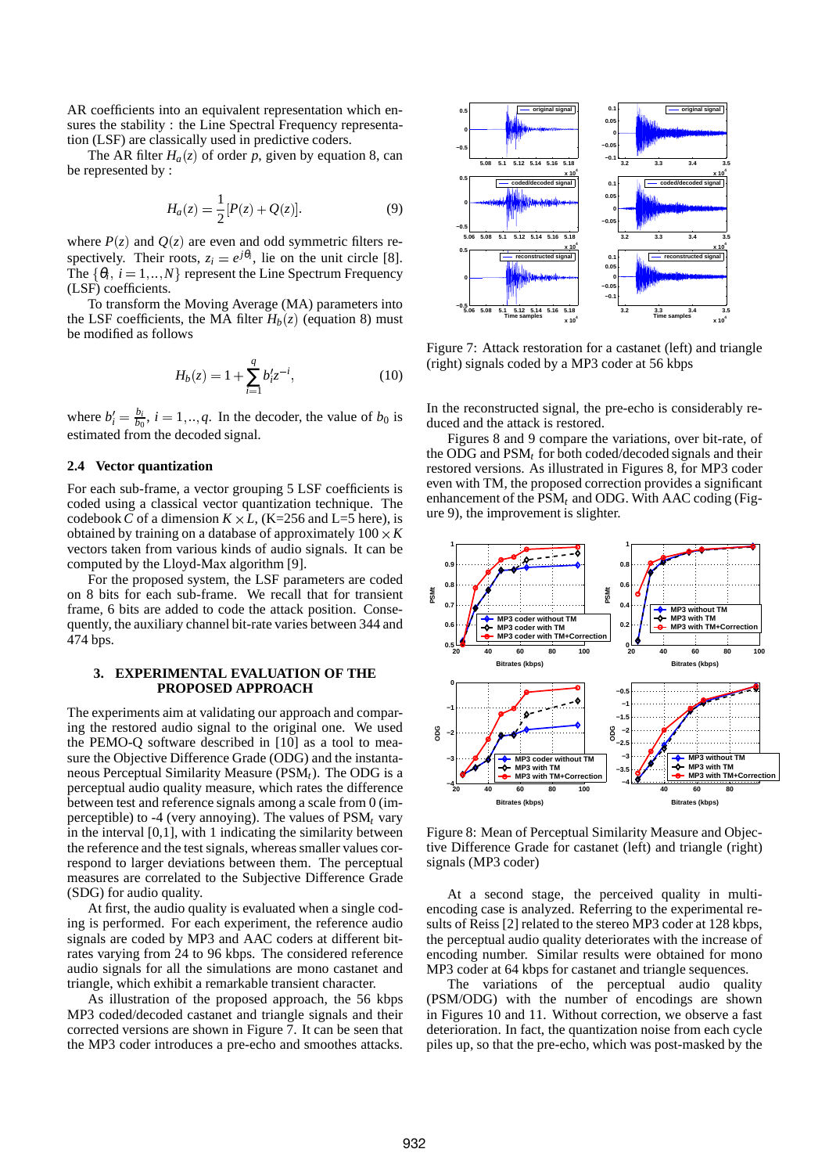AR coefficients into an equivalent representation which ensures the stability : the Line Spectral Frequency representation (LSF) are classically used in predictive coders.

The AR filter  $H_a(z)$  of order p, given by equation 8, can be represented by :

$$
H_a(z) = \frac{1}{2} [P(z) + Q(z)].
$$
 (9)

where  $P(z)$  and  $Q(z)$  are even and odd symmetric filters respectively. Their roots,  $z_i = e^{j\theta_i}$ , lie on the unit circle [8]. The  $\{\theta_i, i = 1, ..., N\}$  represent the Line Spectrum Frequency    (LSF) coefficients.

To transform the Moving Average (MA) parameters into the LSF coefficients, the MA filter  $H_b(z)$  (equation 8) must be modified as follows

$$
H_b(z) = 1 + \sum_{i=1}^{q} b'_i z^{-i},
$$
\n(10)

where  $b'_i = \frac{b_i}{b_0}$ ,  $i = 1, ..., q$ . In the decoder, the value of  $b_0$  is estimated from the decoded signal.

# **2.4 Vector quantization**

For each sub-frame, a vector grouping 5 LSF coefficients is coded using a classical vector quantization technique. The codebook *C* of a dimension  $K \times L$ , (K=256 and L=5 here), is obtained by training on a database of approximately  $100 \times K$ vectors taken from various kinds of audio signals. It can be computed by the Lloyd-Max algorithm [9].

For the proposed system, the LSF parameters are coded on 8 bits for each sub-frame. We recall that for transient frame, 6 bits are added to code the attack position. Consequently, the auxiliary channel bit-rate varies between 344 and 474 bps.

# **3. EXPERIMENTAL EVALUATION OF THE PROPOSED APPROACH**

The experiments aim at validating our approach and comparing the restored audio signal to the original one. We used the PEMO-Q software described in [10] as a tool to measure the Objective Difference Grade (ODG) and the instantaneous Perceptual Similarity Measure (PSM*t*). The ODG is a perceptual audio quality measure, which rates the difference between test and reference signals among a scale from 0 (imperceptible) to -4 (very annoying). The values of PSM*<sup>t</sup>* vary in the interval [0,1], with 1 indicating the similarity between the reference and the test signals, whereas smaller values correspond to larger deviations between them. The perceptual measures are correlated to the Subjective Difference Grade (SDG) for audio quality.

At first, the audio quality is evaluated when a single coding is performed. For each experiment, the reference audio signals are coded by MP3 and AAC coders at different bitrates varying from 24 to 96 kbps. The considered reference audio signals for all the simulations are mono castanet and triangle, which exhibit a remarkable transient character.

As illustration of the proposed approach, the 56 kbps MP3 coded/decoded castanet and triangle signals and their corrected versions are shown in Figure 7. It can be seen that the MP3 coder introduces a pre-echo and smoothes attacks.



Figure 7: Attack restoration for a castanet (left) and triangle (right) signals coded by a MP3 coder at 56 kbps

In the reconstructed signal, the pre-echo is considerably reduced and the attack is restored.

Figures 8 and 9 compare the variations, over bit-rate, of the ODG and PSM*<sup>t</sup>* for both coded/decoded signals and their restored versions. As illustrated in Figures 8, for MP3 coder even with TM, the proposed correction provides a significant enhancement of the PSM*<sup>t</sup>* and ODG. With AAC coding (Figure 9), the improvement is slighter.



Figure 8: Mean of Perceptual Similarity Measure and Objective Difference Grade for castanet (left) and triangle (right) signals (MP3 coder)

At a second stage, the perceived quality in multiencoding case is analyzed. Referring to the experimental results of Reiss [2] related to the stereo MP3 coder at 128 kbps, the perceptual audio quality deteriorates with the increase of encoding number. Similar results were obtained for mono MP3 coder at 64 kbps for castanet and triangle sequences.

The variations of the perceptual audio quality (PSM/ODG) with the number of encodings are shown in Figures 10 and 11. Without correction, we observe a fast deterioration. In fact, the quantization noise from each cycle piles up, so that the pre-echo, which was post-masked by the